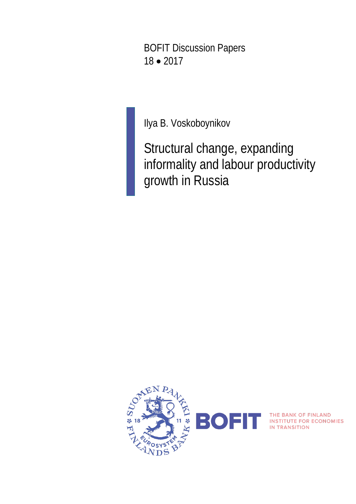BOFIT Discussion Papers 18 • 2017

Ilya B. Voskoboynikov

Structural change, expanding informality and labour productivity growth in Russia

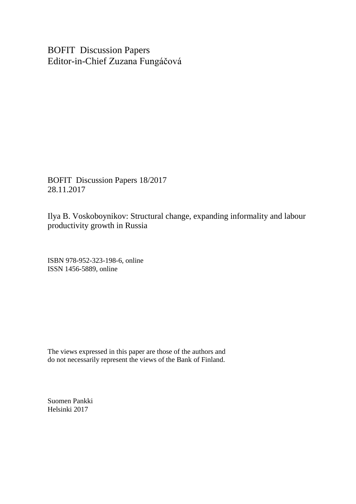BOFIT Discussion Papers Editor-in-Chief Zuzana Fungáčová

BOFIT Discussion Papers 18/2017 28.11.2017

Ilya B. Voskoboynikov: Structural change, expanding informality and labour productivity growth in Russia

ISBN 978-952-323-198-6, online ISSN 1456-5889, online

The views expressed in this paper are those of the authors and do not necessarily represent the views of the Bank of Finland.

Suomen Pankki Helsinki 2017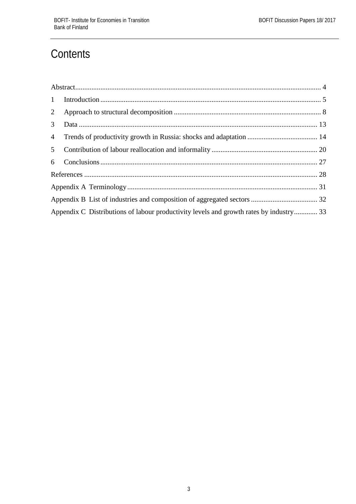# **Contents**

| Appendix C Distributions of labour productivity levels and growth rates by industry 33 |  |
|----------------------------------------------------------------------------------------|--|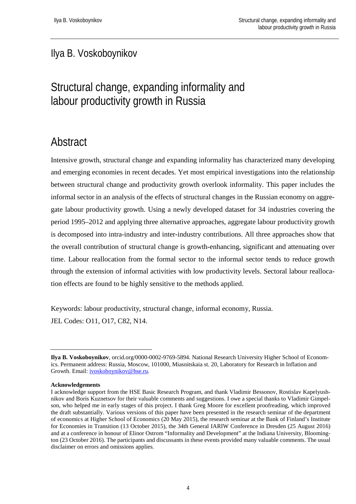### Ilya B. Voskoboynikov

# Structural change, expanding informality and labour productivity growth in Russia

# <span id="page-3-0"></span>Abstract

Intensive growth, structural change and expanding informality has characterized many developing and emerging economies in recent decades. Yet most empirical investigations into the relationship between structural change and productivity growth overlook informality. This paper includes the informal sector in an analysis of the effects of structural changes in the Russian economy on aggregate labour productivity growth. Using a newly developed dataset for 34 industries covering the period 1995–2012 and applying three alternative approaches, aggregate labour productivity growth is decomposed into intra-industry and inter-industry contributions. All three approaches show that the overall contribution of structural change is growth-enhancing, significant and attenuating over time. Labour reallocation from the formal sector to the informal sector tends to reduce growth through the extension of informal activities with low productivity levels. Sectoral labour reallocation effects are found to be highly sensitive to the methods applied.

Keywords: labour productivity, structural change, informal economy, Russia. JEL Codes: O11, O17, C82, N14.

**Ilya B. Voskoboynikov**, orcid.org/0000-0002-9769-5894. National Research University Higher School of Economics. Permanent address: Russia, Moscow, 101000, Miasnitskaia st. 20, Laboratory for Research in Inflation and Growth. Email: [ivoskoboynikov@hse.ru.](mailto:ivoskoboynikov@hse.ru)

**Acknowledgements**

I acknowledge support from the HSE Basic Research Program, and thank Vladimir Bessonov, Rostislav Kapelyushnikov and Boris Kuznetsov for their valuable comments and suggestions. I owe a special thanks to Vladimir Gimpelson, who helped me in early stages of this project. I thank Greg Moore for excellent proofreading, which improved the draft substantially. Various versions of this paper have been presented in the research seminar of the department of economics at Higher School of Economics (20 May 2015), the research seminar at the Bank of Finland's Institute for Economies in Transition (13 October 2015), the 34th General IARIW Conference in Dresden (25 August 2016) and at a conference in honour of Elinor Ostrom "Informality and Development" at the Indiana University, Bloomington (23 October 2016). The participants and discussants in these events provided many valuable comments. The usual disclaimer on errors and omissions applies.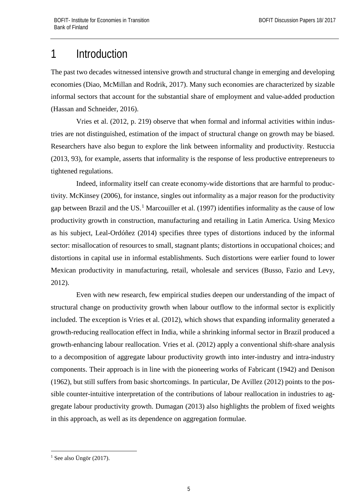# <span id="page-4-0"></span>1 Introduction

The past two decades witnessed intensive growth and structural change in emerging and developing economies (Diao, McMillan and Rodrik, 2017). Many such economies are characterized by sizable informal sectors that account for the substantial share of employment and value-added production (Hassan and Schneider, 2016).

Vries et al. (2012, p. 219) observe that when formal and informal activities within industries are not distinguished, estimation of the impact of structural change on growth may be biased. Researchers have also begun to explore the link between informality and productivity. Restuccia (2013, 93), for example, asserts that informality is the response of less productive entrepreneurs to tightened regulations.

Indeed, informality itself can create economy-wide distortions that are harmful to productivity. McKinsey (2006), for instance, singles out informality as a major reason for the productivity gap between Brazil and the US.<sup>[1](#page-4-1)</sup> Marcouiller et al. (1997) identifies informality as the cause of low productivity growth in construction, manufacturing and retailing in Latin America. Using Mexico as his subject, Leal-Ordóñez (2014) specifies three types of distortions induced by the informal sector: misallocation of resources to small, stagnant plants; distortions in occupational choices; and distortions in capital use in informal establishments. Such distortions were earlier found to lower Mexican productivity in manufacturing, retail, wholesale and services (Busso, Fazio and Levy, 2012).

Even with new research, few empirical studies deepen our understanding of the impact of structural change on productivity growth when labour outflow to the informal sector is explicitly included. The exception is Vries et al. (2012), which shows that expanding informality generated a growth-reducing reallocation effect in India, while a shrinking informal sector in Brazil produced a growth-enhancing labour reallocation. Vries et al. (2012) apply a conventional shift-share analysis to a decomposition of aggregate labour productivity growth into inter-industry and intra-industry components. Their approach is in line with the pioneering works of Fabricant (1942) and Denison (1962), but still suffers from basic shortcomings. In particular, De Avillez (2012) points to the possible counter-intuitive interpretation of the contributions of labour reallocation in industries to aggregate labour productivity growth. Dumagan (2013) also highlights the problem of fixed weights in this approach, as well as its dependence on aggregation formulae.

<span id="page-4-1"></span><sup>&</sup>lt;sup>1</sup> See also Üngör (2017).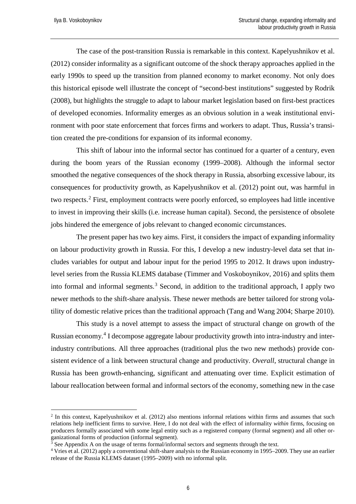<u>.</u>

The case of the post-transition Russia is remarkable in this context. Kapelyushnikov et al. (2012) consider informality as a significant outcome of the shock therapy approaches applied in the early 1990s to speed up the transition from planned economy to market economy. Not only does this historical episode well illustrate the concept of "second-best institutions" suggested by Rodrik (2008), but highlights the struggle to adapt to labour market legislation based on first-best practices of developed economies. Informality emerges as an obvious solution in a weak institutional environment with poor state enforcement that forces firms and workers to adapt. Thus, Russia's transition created the pre-conditions for expansion of its informal economy.

This shift of labour into the informal sector has continued for a quarter of a century, even during the boom years of the Russian economy (1999–2008). Although the informal sector smoothed the negative consequences of the shock therapy in Russia, absorbing excessive labour, its consequences for productivity growth, as Kapelyushnikov et al. (2012) point out, was harmful in two respects.[2](#page-5-0) First, employment contracts were poorly enforced, so employees had little incentive to invest in improving their skills (i.e. increase human capital). Second, the persistence of obsolete jobs hindered the emergence of jobs relevant to changed economic circumstances.

The present paper has two key aims. First, it considers the impact of expanding informality on labour productivity growth in Russia. For this, I develop a new industry-level data set that includes variables for output and labour input for the period 1995 to 2012. It draws upon industrylevel series from the Russia KLEMS database (Timmer and Voskoboynikov, 2016) and splits them into formal and informal segments.<sup>[3](#page-5-1)</sup> Second, in addition to the traditional approach, I apply two newer methods to the shift-share analysis. These newer methods are better tailored for strong volatility of domestic relative prices than the traditional approach (Tang and Wang 2004; Sharpe 2010).

This study is a novel attempt to assess the impact of structural change on growth of the Russian economy.<sup>[4](#page-5-2)</sup> I decompose aggregate labour productivity growth into intra-industry and interindustry contributions. All three approaches (traditional plus the two new methods) provide consistent evidence of a link between structural change and productivity. *Overall*, structural change in Russia has been growth-enhancing, significant and attenuating over time. Explicit estimation of labour reallocation between formal and informal sectors of the economy, something new in the case

<span id="page-5-0"></span><sup>&</sup>lt;sup>2</sup> In this context, Kapelyushnikov et al. (2012) also mentions informal relations within firms and assumes that such relations help inefficient firms to survive. Here, I do not deal with the effect of informality *within* firms, focusing on producers formally associated with some legal entity such as a registered company (formal segment) and all other organizational forms of production (informal segment).

 $3 \text{ See Appendix A}$  on the usage of terms formal/informal sectors and segments through the text.

<span id="page-5-2"></span><span id="page-5-1"></span><sup>4</sup> Vries et al. (2012) apply a conventional shift-share analysis to the Russian economy in 1995–2009. They use an earlier release of the Russia KLEMS dataset (1995–2009) with no informal split.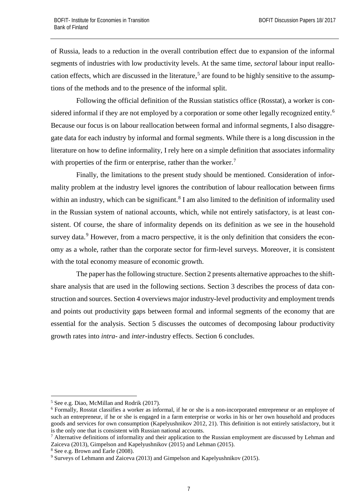of Russia, leads to a reduction in the overall contribution effect due to expansion of the informal segments of industries with low productivity levels. At the same time, *sectoral* labour input reallo-cation effects, which are discussed in the literature,<sup>[5](#page-6-0)</sup> are found to be highly sensitive to the assumptions of the methods and to the presence of the informal split.

Following the official definition of the Russian statistics office (Rosstat), a worker is con-sidered informal if they are not employed by a corporation or some other legally recognized entity.<sup>[6](#page-6-1)</sup> Because our focus is on labour reallocation between formal and informal segments, I also disaggregate data for each industry by informal and formal segments. While there is a long discussion in the literature on how to define informality, I rely here on a simple definition that associates informality with properties of the firm or enterprise, rather than the worker.<sup>[7](#page-6-2)</sup>

Finally, the limitations to the present study should be mentioned. Consideration of informality problem at the industry level ignores the contribution of labour reallocation between firms within an industry, which can be significant.<sup>[8](#page-6-3)</sup> I am also limited to the definition of informality used in the Russian system of national accounts, which, while not entirely satisfactory, is at least consistent. Of course, the share of informality depends on its definition as we see in the household survey data.<sup>[9](#page-6-4)</sup> However, from a macro perspective, it is the only definition that considers the economy as a whole, rather than the corporate sector for firm-level surveys. Moreover, it is consistent with the total economy measure of economic growth.

The paper has the following structure. Section 2 presents alternative approaches to the shiftshare analysis that are used in the following sections. Section 3 describes the process of data construction and sources. Section 4 overviews major industry-level productivity and employment trends and points out productivity gaps between formal and informal segments of the economy that are essential for the analysis. Section 5 discusses the outcomes of decomposing labour productivity growth rates into *intra*- and *inter*-industry effects. Section 6 concludes.

<span id="page-6-0"></span> <sup>5</sup> See e.g. Diao, McMillan and Rodrik (2017).

<span id="page-6-1"></span><sup>6</sup> Formally, Rosstat classifies a worker as informal, if he or she is a non-incorporated entrepreneur or an employee of such an entrepreneur, if he or she is engaged in a farm enterprise or works in his or her own household and produces goods and services for own consumption (Kapelyushnikov 2012, 21). This definition is not entirely satisfactory, but it is the only one that is consistent with Russian national accounts.

<span id="page-6-2"></span> $<sup>7</sup>$  Alternative definitions of informality and their application to the Russian employment are discussed by Lehman and</sup> Zaiceva (2013), Gimpelson and Kapelyushnikov (2015) and Lehman (2015).

<span id="page-6-3"></span><sup>8</sup> See e.g. Brown and Earle (2008).

<span id="page-6-4"></span><sup>&</sup>lt;sup>9</sup> Surveys of Lehmann and Zaiceva (2013) and Gimpelson and Kapelyushnikov (2015).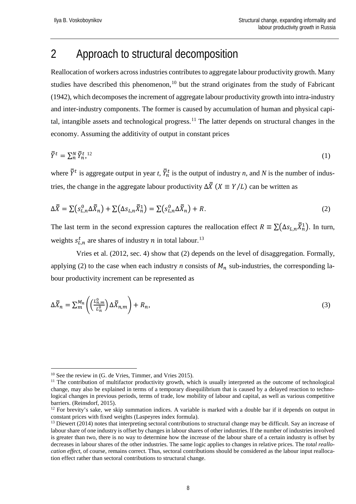# <span id="page-7-0"></span>2 Approach to structural decomposition

Reallocation of workers across industries contributes to aggregate labour productivity growth. Many studies have described this phenomenon,<sup>[10](#page-7-1)</sup> but the strand originates from the study of Fabricant (1942), which decomposes the increment of aggregate labour productivity growth into intra-industry and inter-industry components. The former is caused by accumulation of human and physical capi-tal, intangible assets and technological progress.<sup>[11](#page-7-2)</sup> The latter depends on structural changes in the economy. Assuming the additivity of output in constant prices

$$
\overline{\overline{Y}}^t = \sum_n^N \overline{Y}_n^{t,12} \tag{1}
$$

where  $Y^t$  is aggregate output in year *t*,  $Y_n^t$  is the output of industry *n*, and *N* is the number of industries, the change in the aggregate labour productivity  $\Delta \overline{X}$  ( $X \equiv Y/L$ ) can be written as

$$
\Delta \overline{\overline{X}} = \sum (s_{L,n}^0 \Delta \overline{\overline{X}}_n) + \sum (\Delta s_{L,n} \overline{\overline{X}}_n^1) = \sum (s_{L,n}^0 \Delta \overline{\overline{X}}_n) + R. \tag{2}
$$

The last term in the second expression captures the reallocation effect  $R \equiv \sum (\Delta s_{L,n} X_n^1)$ . In turn, weights  $s_{L,n}^t$  are shares of industry *n* in total labour.<sup>[13](#page-7-4)</sup>

Vries et al. (2012, sec. 4) show that (2) depends on the level of disaggregation. Formally, applying (2) to the case when each industry *n* consists of  $M_n$  sub-industries, the corresponding labour productivity increment can be represented as

$$
\Delta \bar{X}_n = \sum_{m}^{M_n} \left( \left( \frac{L_{n,m}^0}{L_n^0} \right) \Delta \bar{X}_{n,m} \right) + R_n,\tag{3}
$$

<span id="page-7-1"></span><sup>&</sup>lt;sup>10</sup> See the review in (G. de Vries, Timmer, and Vries 2015).

<span id="page-7-2"></span> $11$  The contribution of multifactor productivity growth, which is usually interpreted as the outcome of technological change, may also be explained in terms of a temporary disequilibrium that is caused by a delayed reaction to technological changes in previous periods, terms of trade, low mobility of labour and capital, as well as various competitive barriers. (Reinsdorf, 2015).

<span id="page-7-3"></span> $12$  For brevity's sake, we skip summation indices. A variable is marked with a double bar if it depends on output in constant prices with fixed weights (Laspeyres index formula).

<span id="page-7-4"></span> $13$  Diewert (2014) notes that interpreting sectoral contributions to structural change may be difficult. Say an increase of labour share of one industry is offset by changes in labour shares of other industries. If the number of industries involved is greater than two, there is no way to determine how the increase of the labour share of a certain industry is offset by decreases in labour shares of the other industries. The same logic applies to changes in relative prices. The *total reallocation effect*, of course, remains correct. Thus, sectoral contributions should be considered as the labour input reallocation effect rather than sectoral contributions to structural change.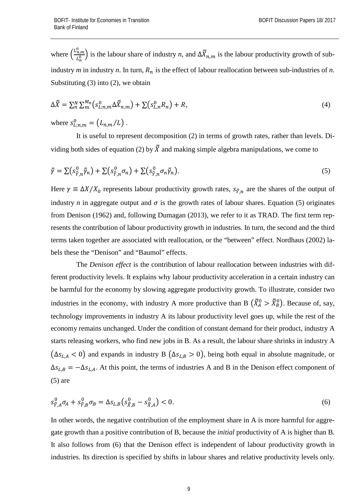where  $\left(\frac{L_{n,m}^0}{L_n^0}\right)$  $\frac{n_{\rm th}}{n_{\rm h}}$ ) is the labour share of industry *n*, and  $\Delta X_{n,m}$  is the labour productivity growth of subindustry *m* in industry *n*. In turn,  $R_n$  is the effect of labour reallocation between sub-industries of *n*. Substituting (3) into (2), we obtain

$$
\Delta \overline{\overline{X}} = \sum_{n}^{N} \sum_{m}^{M_n} \left( s_{L;n,m}^0 \Delta \overline{\overline{X}}_{n,m} \right) + \sum \left( s_{L,n}^0 R_n \right) + R,\tag{4}
$$

where  $s_{L:n,m}^0 = (L_{n,m}/L)$ .

It is useful to represent decomposition (2) in terms of growth rates, rather than levels. Dividing both sides of equation (2) by  $\bar{\bar{X}}$  and making simple algebra manipulations, we come to

$$
\bar{\bar{\gamma}} = \sum (s_{\bar{\gamma},n}^0 \bar{\bar{\gamma}}_n) + \sum (s_{\bar{\gamma},n}^0 \sigma_n) + \sum (s_{\bar{\gamma},n}^0 \sigma_n \bar{\bar{\gamma}}_n). \tag{5}
$$

Here  $\gamma \equiv \Delta X/X_0$  represents labour productivity growth rates,  $S_{\bar{Y},n}$  are the shares of the output of industry *n* in aggregate output and  $\sigma$  is the growth rates of labour shares. Equation (5) originates from Denison (1962) and, following Dumagan (2013), we refer to it as TRAD. The first term represents the contribution of labour productivity growth in industries. In turn, the second and the third terms taken together are associated with reallocation, or the "between" effect. Nordhaus (2002) labels these the "Denison" and "Baumol" effects.

The *Denison effect* is the contribution of labour reallocation between industries with different productivity levels. It explains why labour productivity acceleration in a certain industry can be harmful for the economy by slowing aggregate productivity growth. To illustrate, consider two industries in the economy, with industry A more productive than B  $(X_A^0 > X_B^0)$ . Because of, say, technology improvements in industry A its labour productivity level goes up, while the rest of the economy remains unchanged. Under the condition of constant demand for their product, industry A starts releasing workers, who find new jobs in B. As a result, the labour share shrinks in industry A  $(\Delta s_{L, A} < 0)$  and expands in industry B  $(\Delta s_{L, B} > 0)$ , being both equal in absolute magnitude, or  $\Delta s_{L,B} = -\Delta s_{L,A}$ . At this point, the terms of industries A and B in the Denison effect component of  $(5)$  are

$$
s_{\bar{Y},A}^{0} \sigma_{A} + s_{\bar{Y},B}^{0} \sigma_{B} = \Delta s_{L,B} \left( s_{\bar{X},B}^{0} - s_{\bar{X},A}^{0} \right) < 0. \tag{6}
$$

In other words, the negative contribution of the employment share in A is more harmful for aggregate growth than a positive contribution of B, because the *initial* productivity of A is higher than B. It also follows from (6) that the Denison effect is independent of labour productivity growth in industries. Its direction is specified by shifts in labour shares and relative productivity levels only.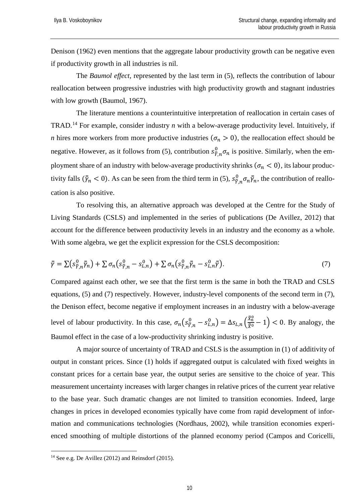Denison (1962) even mentions that the aggregate labour productivity growth can be negative even if productivity growth in all industries is nil.

The *Baumol effect*, represented by the last term in (5), reflects the contribution of labour reallocation between progressive industries with high productivity growth and stagnant industries with low growth (Baumol, 1967).

The literature mentions a counterintuitive interpretation of reallocation in certain cases of TRAD.[14](#page-9-0) For example, consider industry *n* with a below-average productivity level. Intuitively, if *n* hires more workers from more productive industries ( $\sigma_n > 0$ ), the reallocation effect should be negative. However, as it follows from (5), contribution  $s^0_{\bar{Y},n} \sigma_n$  is positive. Similarly, when the employment share of an industry with below-average productivity shrinks ( $\sigma_n < 0$ ), its labour productivity falls ( $\bar{\gamma}_n < 0$ ). As can be seen from the third term in (5),  $s_{\bar{Y},n}^0 \sigma_n \bar{\gamma}_n$ , the contribution of reallocation is also positive.

To resolving this, an alternative approach was developed at the Centre for the Study of Living Standards (CSLS) and implemented in the series of publications (De Avillez, 2012) that account for the difference between productivity levels in an industry and the economy as a whole. With some algebra, we get the explicit expression for the CSLS decomposition:

$$
\bar{\bar{\gamma}} = \sum \left( s_{\bar{\gamma},n}^0 \bar{\bar{\gamma}}_n \right) + \sum \sigma_n \left( s_{\bar{\gamma},n}^0 - s_{L,n}^0 \right) + \sum \sigma_n \left( s_{\bar{\gamma},n}^0 \bar{\bar{\gamma}}_n - s_{L,n}^0 \bar{\bar{\gamma}} \right). \tag{7}
$$

Compared against each other, we see that the first term is the same in both the TRAD and CSLS equations, (5) and (7) respectively. However, industry-level components of the second term in (7), the Denison effect, become negative if employment increases in an industry with a below-average level of labour productivity. In this case,  $\sigma_n(s_{\bar{y},n}^0 - s_{L,n}^0) = \Delta s_{L,n}(\frac{\bar{x}_n^0}{\bar{x}^0} - 1) < 0$ . By analogy, the Baumol effect in the case of a low-productivity shrinking industry is positive.

A major source of uncertainty of TRAD and CSLS is the assumption in (1) of additivity of output in constant prices. Since (1) holds if aggregated output is calculated with fixed weights in constant prices for a certain base year, the output series are sensitive to the choice of year. This measurement uncertainty increases with larger changes in relative prices of the current year relative to the base year. Such dramatic changes are not limited to transition economies. Indeed, large changes in prices in developed economies typically have come from rapid development of information and communications technologies (Nordhaus, 2002), while transition economies experienced smoothing of multiple distortions of the planned economy period (Campos and Coricelli,

<span id="page-9-0"></span><sup>&</sup>lt;sup>14</sup> See e.g. De Avillez (2012) and Reinsdorf (2015).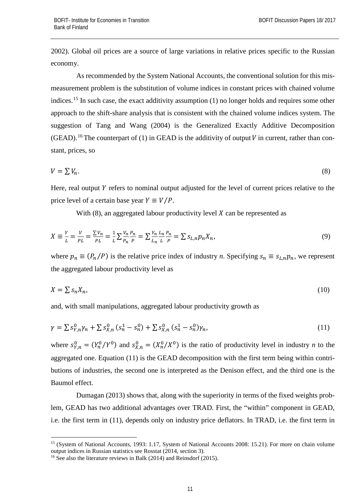2002). Global oil prices are a source of large variations in relative prices specific to the Russian economy.

As recommended by the System National Accounts, the conventional solution for this mismeasurement problem is the substitution of volume indices in constant prices with chained volume indices.<sup>[15](#page-10-0)</sup> In such case, the exact additivity assumption (1) no longer holds and requires some other approach to the shift-share analysis that is consistent with the chained volume indices system. The suggestion of Tang and Wang (2004) is the Generalized Exactly Additive Decomposition (GEAD).<sup>[16](#page-10-1)</sup> The counterpart of (1) in GEAD is the additivity of output *V* in current, rather than constant, prices, so

$$
V = \sum V_n. \tag{8}
$$

Here, real output  $Y$  refers to nominal output adjusted for the level of current prices relative to the price level of a certain base year  $Y \equiv V/P$ .

With  $(8)$ , an aggregated labour productivity level X can be represented as

$$
X \equiv \frac{Y}{L} = \frac{V}{PL} = \frac{\sum V_n}{PL} = \frac{1}{L} \sum \frac{V_n}{P_n} \frac{P_n}{P} = \sum \frac{Y_n}{L_n} \frac{L_n}{L} \frac{P_n}{P} = \sum S_{L,n} p_n X_n,\tag{9}
$$

where  $p_n \equiv (P_n/P)$  is the relative price index of industry *n*. Specifying  $s_n \equiv s_{L,n} p_n$ , we represent the aggregated labour productivity level as

$$
X = \sum s_n X_n,\tag{10}
$$

and, with small manipulations, aggregated labour productivity growth as

$$
\gamma = \sum s_{Y,n}^0 \gamma_n + \sum s_{X,n}^0 (s_n^1 - s_n^0) + \sum s_{X,n}^0 (s_n^1 - s_n^0) \gamma_n, \tag{11}
$$

where  $s_{Y,n}^0 = (Y_n^0/Y^0)$  and  $s_{X,n}^0 = (X_n^0/X^0)$  is the ratio of productivity level in industry *n* to the aggregated one. Equation (11) is the GEAD decomposition with the first term being within contributions of industries, the second one is interpreted as the Denison effect, and the third one is the Baumol effect.

Dumagan (2013) shows that, along with the superiority in terms of the fixed weights problem, GEAD has two additional advantages over TRAD. First, the "within" component in GEAD, i.e. the first term in (11), depends only on industry price deflators. In TRAD, i.e. the first term in

<span id="page-10-0"></span><sup>&</sup>lt;sup>15</sup> (System of National Accounts, 1993: 1.17, System of National Accounts 2008: 15.21). For more on chain volume output indices in Russian statistics see Rosstat (2014, section 3).

<span id="page-10-1"></span><sup>&</sup>lt;sup>16</sup> See also the literature reviews in Balk (2014) and Reinsdorf (2015).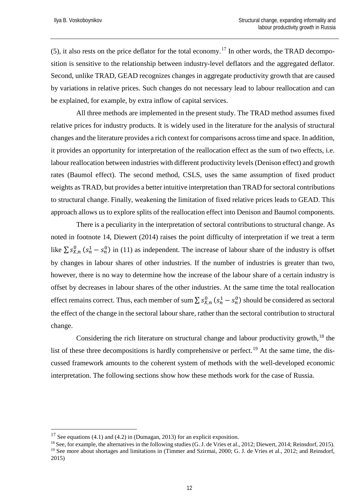(5), it also rests on the price deflator for the total economy.<sup>[17](#page-11-0)</sup> In other words, the TRAD decomposition is sensitive to the relationship between industry-level deflators and the aggregated deflator. Second, unlike TRAD, GEAD recognizes changes in aggregate productivity growth that are caused by variations in relative prices. Such changes do not necessary lead to labour reallocation and can be explained, for example, by extra inflow of capital services.

All three methods are implemented in the present study. The TRAD method assumes fixed relative prices for industry products. It is widely used in the literature for the analysis of structural changes and the literature provides a rich context for comparisons across time and space. In addition, it provides an opportunity for interpretation of the reallocation effect as the sum of two effects, i.e. labour reallocation between industries with different productivity levels (Denison effect) and growth rates (Baumol effect). The second method, CSLS, uses the same assumption of fixed product weights as TRAD, but provides a better intuitive interpretation than TRAD for sectoral contributions to structural change. Finally, weakening the limitation of fixed relative prices leads to GEAD. This approach allows us to explore splits of the reallocation effect into Denison and Baumol components.

There is a peculiarity in the interpretation of sectoral contributions to structural change. As noted in footnote 14, Diewert (2014) raises the point difficulty of interpretation if we treat a term like  $\sum s_{X,n}^{0}$  ( $s_n^1 - s_n^0$ ) in (11) as independent. The increase of labour share of the industry is offset by changes in labour shares of other industries. If the number of industries is greater than two, however, there is no way to determine how the increase of the labour share of a certain industry is offset by decreases in labour shares of the other industries. At the same time the total reallocation effect remains correct. Thus, each member of sum  $\sum s_{X,n}^0$   $(s_n^1 - s_n^0)$  should be considered as sectoral the effect of the change in the sectoral labour share*,* rather than the sectoral contribution to structural change.

Considering the rich literature on structural change and labour productivity growth, $^{18}$  $^{18}$  $^{18}$  the list of these three decompositions is hardly comprehensive or perfect.<sup>[19](#page-11-2)</sup> At the same time, the discussed framework amounts to the coherent system of methods with the well-developed economic interpretation. The following sections show how these methods work for the case of Russia.

<span id="page-11-0"></span><sup>&</sup>lt;sup>17</sup> See equations (4.1) and (4.2) in (Dumagan, 2013) for an explicit exposition.

<span id="page-11-2"></span><span id="page-11-1"></span><sup>&</sup>lt;sup>18</sup> See, for example, the alternatives in the following studies (G. J. de Vries et al., 2012; Diewert, 2014; Reinsdorf, 2015). <sup>19</sup> See more about shortages and limitations in (Timmer and Szirmai, 2000; G. J. de Vries et al., 2012; and Reinsdorf, 2015)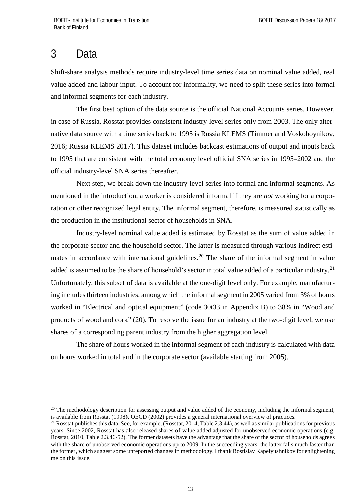# <span id="page-12-0"></span>3 Data

Shift-share analysis methods require industry-level time series data on nominal value added, real value added and labour input. To account for informality, we need to split these series into formal and informal segments for each industry.

The first best option of the data source is the official National Accounts series. However, in case of Russia, Rosstat provides consistent industry-level series only from 2003. The only alternative data source with a time series back to 1995 is Russia KLEMS (Timmer and Voskoboynikov, 2016; Russia KLEMS 2017). This dataset includes backcast estimations of output and inputs back to 1995 that are consistent with the total economy level official SNA series in 1995–2002 and the official industry-level SNA series thereafter.

Next step, we break down the industry-level series into formal and informal segments. As mentioned in the introduction, a worker is considered informal if they are *not* working for a corporation or other recognized legal entity. The informal segment, therefore, is measured statistically as the production in the institutional sector of households in SNA.

Industry-level nominal value added is estimated by Rosstat as the sum of value added in the corporate sector and the household sector. The latter is measured through various indirect esti-mates in accordance with international guidelines.<sup>[20](#page-12-1)</sup> The share of the informal segment in value added is assumed to be the share of household's sector in total value added of a particular industry.<sup>[21](#page-12-2)</sup> Unfortunately, this subset of data is available at the one-digit level only. For example, manufacturing includes thirteen industries, among which the informal segment in 2005 varied from 3% of hours worked in "Electrical and optical equipment" (code 30t33 in Appendix B) to 38% in "Wood and products of wood and cork" (20). To resolve the issue for an industry at the two-digit level, we use shares of a corresponding parent industry from the higher aggregation level.

The share of hours worked in the informal segment of each industry is calculated with data on hours worked in total and in the corporate sector (available starting from 2005).

<span id="page-12-1"></span> $20$  The methodology description for assessing output and value added of the economy, including the informal segment, is available from Rosstat (1998). OECD (2002) provides a general international overview of practices.

<span id="page-12-2"></span><sup>&</sup>lt;sup>21</sup> Rosstat publishes this data. See, for example, (Rosstat, 2014, Table 2.3.44), as well as similar publications for previous years. Since 2002, Rosstat has also released shares of value added adjusted for unobserved economic operations (e.g. Rosstat, 2010, Table 2.3.46-52). The former datasets have the advantage that the share of the sector of households agrees with the share of unobserved economic operations up to 2009. In the succeeding years, the latter falls much faster than the former, which suggest some unreported changes in methodology. I thank Rostislav Kapelyushnikov for enlightening me on this issue.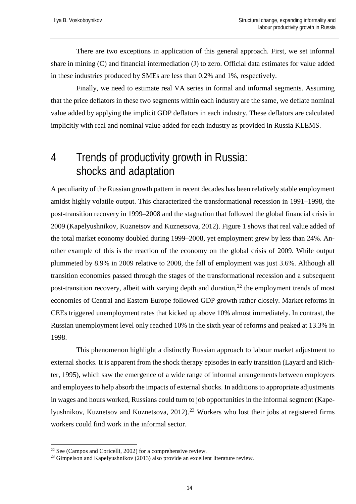There are two exceptions in application of this general approach. First, we set informal share in mining (C) and financial intermediation (J) to zero. Official data estimates for value added in these industries produced by SMEs are less than 0.2% and 1%, respectively.

Finally, we need to estimate real VA series in formal and informal segments. Assuming that the price deflators in these two segments within each industry are the same, we deflate nominal value added by applying the implicit GDP deflators in each industry. These deflators are calculated implicitly with real and nominal value added for each industry as provided in Russia KLEMS.

### <span id="page-13-0"></span>4 Trends of productivity growth in Russia: shocks and adaptation

A peculiarity of the Russian growth pattern in recent decades has been relatively stable employment amidst highly volatile output. This characterized the transformational recession in 1991–1998, the post-transition recovery in 1999–2008 and the stagnation that followed the global financial crisis in 2009 (Kapelyushnikov, Kuznetsov and Kuznetsova, 2012). Figure 1 shows that real value added of the total market economy doubled during 1999–2008, yet employment grew by less than 24%. Another example of this is the reaction of the economy on the global crisis of 2009. While output plummeted by 8.9% in 2009 relative to 2008, the fall of employment was just 3.6%. Although all transition economies passed through the stages of the transformational recession and a subsequent post-transition recovery, albeit with varying depth and duration,  $22$  the employment trends of most economies of Central and Eastern Europe followed GDP growth rather closely. Market reforms in CEEs triggered unemployment rates that kicked up above 10% almost immediately. In contrast, the Russian unemployment level only reached 10% in the sixth year of reforms and peaked at 13.3% in 1998.

This phenomenon highlight a distinctly Russian approach to labour market adjustment to external shocks. It is apparent from the shock therapy episodes in early transition (Layard and Richter, 1995), which saw the emergence of a wide range of informal arrangements between employers and employees to help absorb the impacts of external shocks. In additions to appropriate adjustments in wages and hours worked, Russians could turn to job opportunities in the informal segment (Kape-lyushnikov, Kuznetsov and Kuznetsova, 2012).<sup>[23](#page-13-2)</sup> Workers who lost their jobs at registered firms workers could find work in the informal sector.

<span id="page-13-2"></span><span id="page-13-1"></span><sup>&</sup>lt;sup>22</sup> See (Campos and Coricelli, 2002) for a comprehensive review.<br><sup>23</sup> Gimpelson and Kapelyushnikov (2013) also provide an excellent literature review.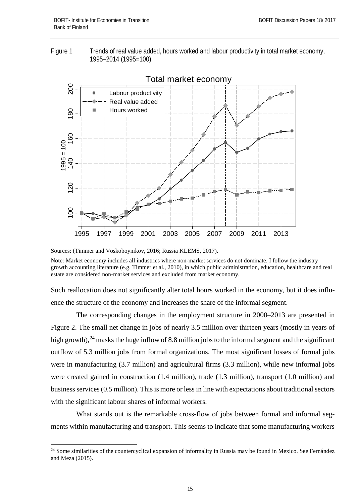



Total market economy

Note: Market economy includes all industries where non-market services do not dominate. I follow the industry growth accounting literature (e.g. Timmer et al., 2010), in which public administration, education, healthcare and real estate are considered non-market services and excluded from market economy.

Such reallocation does not significantly alter total hours worked in the economy, but it does influence the structure of the economy and increases the share of the informal segment.

The corresponding changes in the employment structure in 2000–2013 are presented in Figure 2. The small net change in jobs of nearly 3.5 million over thirteen years (mostly in years of high growth), $^{24}$  $^{24}$  $^{24}$  masks the huge inflow of 8.8 million jobs to the informal segment and the significant outflow of 5.3 million jobs from formal organizations. The most significant losses of formal jobs were in manufacturing (3.7 million) and agricultural firms (3.3 million), while new informal jobs were created gained in construction (1.4 million), trade (1.3 million), transport (1.0 million) and business services (0.5 million). This is more or less in line with expectations about traditional sectors with the significant labour shares of informal workers.

What stands out is the remarkable cross-flow of jobs between formal and informal segments within manufacturing and transport. This seems to indicate that some manufacturing workers

Sources: (Timmer and Voskoboynikov, 2016; Russia KLEMS, 2017).

<span id="page-14-0"></span><sup>&</sup>lt;sup>24</sup> Some similarities of the countercyclical expansion of informality in Russia may be found in Mexico. See Fernández and Meza (2015).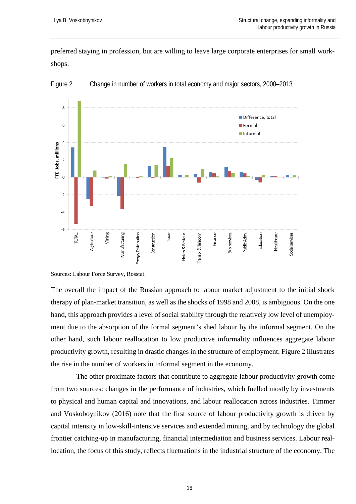preferred staying in profession, but are willing to leave large corporate enterprises for small workshops.



Figure 2 Change in number of workers in total economy and major sectors, 2000–2013

Sources: Labour Force Survey, Rosstat.

The overall the impact of the Russian approach to labour market adjustment to the initial shock therapy of plan-market transition, as well as the shocks of 1998 and 2008, is ambiguous. On the one hand, this approach provides a level of social stability through the relatively low level of unemployment due to the absorption of the formal segment's shed labour by the informal segment. On the other hand, such labour reallocation to low productive informality influences aggregate labour productivity growth, resulting in drastic changes in the structure of employment. Figure 2 illustrates the rise in the number of workers in informal segment in the economy.

The other proximate factors that contribute to aggregate labour productivity growth come from two sources: changes in the performance of industries, which fuelled mostly by investments to physical and human capital and innovations, and labour reallocation across industries. Timmer and Voskoboynikov (2016) note that the first source of labour productivity growth is driven by capital intensity in low-skill-intensive services and extended mining, and by technology the global frontier catching-up in manufacturing, financial intermediation and business services. Labour reallocation, the focus of this study, reflects fluctuations in the industrial structure of the economy. The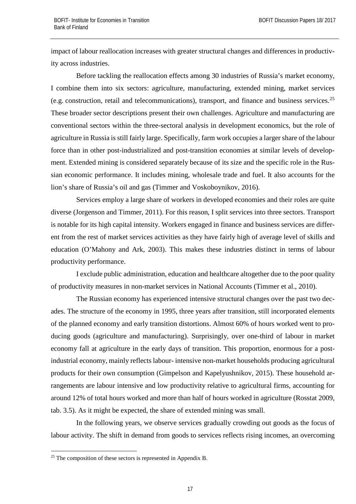impact of labour reallocation increases with greater structural changes and differences in productivity across industries.

Before tackling the reallocation effects among 30 industries of Russia's market economy, I combine them into six sectors: agriculture, manufacturing, extended mining, market services (e.g. construction, retail and telecommunications), transport, and finance and business services.  $2^5$ These broader sector descriptions present their own challenges. Agriculture and manufacturing are conventional sectors within the three-sectoral analysis in development economics, but the role of agriculture in Russia is still fairly large. Specifically, farm work occupies a larger share of the labour force than in other post-industrialized and post-transition economies at similar levels of development. Extended mining is considered separately because of its size and the specific role in the Russian economic performance. It includes mining, wholesale trade and fuel. It also accounts for the lion's share of Russia's oil and gas (Timmer and Voskoboynikov, 2016).

Services employ a large share of workers in developed economies and their roles are quite diverse (Jorgenson and Timmer, 2011). For this reason, I split services into three sectors. Transport is notable for its high capital intensity. Workers engaged in finance and business services are different from the rest of market services activities as they have fairly high of average level of skills and education (O'Mahony and Ark, 2003). This makes these industries distinct in terms of labour productivity performance.

I exclude public administration, education and healthcare altogether due to the poor quality of productivity measures in non-market services in National Accounts (Timmer et al., 2010).

The Russian economy has experienced intensive structural changes over the past two decades. The structure of the economy in 1995, three years after transition, still incorporated elements of the planned economy and early transition distortions. Almost 60% of hours worked went to producing goods (agriculture and manufacturing). Surprisingly, over one-third of labour in market economy fall at agriculture in the early days of transition. This proportion, enormous for a postindustrial economy, mainly reflects labour- intensive non-market households producing agricultural products for their own consumption (Gimpelson and Kapelyushnikov, 2015). These household arrangements are labour intensive and low productivity relative to agricultural firms, accounting for around 12% of total hours worked and more than half of hours worked in agriculture (Rosstat 2009, tab. 3.5). As it might be expected, the share of extended mining was small.

In the following years, we observe services gradually crowding out goods as the focus of labour activity. The shift in demand from goods to services reflects rising incomes, an overcoming

<span id="page-16-0"></span> $25$  The composition of these sectors is represented in Appendix B.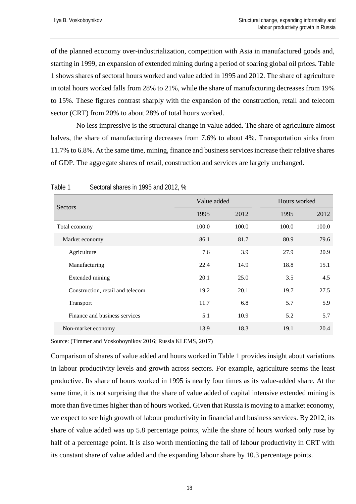of the planned economy over-industrialization, competition with Asia in manufactured goods and, starting in 1999, an expansion of extended mining during a period of soaring global oil prices. Table 1 shows shares of sectoral hours worked and value added in 1995 and 2012. The share of agriculture in total hours worked falls from 28% to 21%, while the share of manufacturing decreases from 19% to 15%. These figures contrast sharply with the expansion of the construction, retail and telecom sector (CRT) from 20% to about 28% of total hours worked.

No less impressive is the structural change in value added. The share of agriculture almost halves, the share of manufacturing decreases from 7.6% to about 4%. Transportation sinks from 11.7% to 6.8%. At the same time, mining, finance and business services increase their relative shares of GDP. The aggregate shares of retail, construction and services are largely unchanged.

| Sectors                          |       | Value added |       | Hours worked |  |
|----------------------------------|-------|-------------|-------|--------------|--|
|                                  | 1995  | 2012        | 1995  | 2012         |  |
| Total economy                    | 100.0 | 100.0       | 100.0 | 100.0        |  |
| Market economy                   | 86.1  | 81.7        | 80.9  | 79.6         |  |
| Agriculture                      | 7.6   | 3.9         | 27.9  | 20.9         |  |
| Manufacturing                    | 22.4  | 14.9        | 18.8  | 15.1         |  |
| Extended mining                  | 20.1  | 25.0        | 3.5   | 4.5          |  |
| Construction, retail and telecom | 19.2  | 20.1        | 19.7  | 27.5         |  |
| Transport                        | 11.7  | 6.8         | 5.7   | 5.9          |  |
| Finance and business services    | 5.1   | 10.9        | 5.2   | 5.7          |  |
| Non-market economy               | 13.9  | 18.3        | 19.1  | 20.4         |  |

Table 1 Sectoral shares in 1995 and 2012, %

Source: (Timmer and Voskoboynikov 2016; Russia KLEMS, 2017)

Comparison of shares of value added and hours worked in Table 1 provides insight about variations in labour productivity levels and growth across sectors. For example, agriculture seems the least productive. Its share of hours worked in 1995 is nearly four times as its value-added share. At the same time, it is not surprising that the share of value added of capital intensive extended mining is more than five times higher than of hours worked. Given that Russia is moving to a market economy, we expect to see high growth of labour productivity in financial and business services. By 2012, its share of value added was up 5.8 percentage points, while the share of hours worked only rose by half of a percentage point. It is also worth mentioning the fall of labour productivity in CRT with its constant share of value added and the expanding labour share by 10.3 percentage points.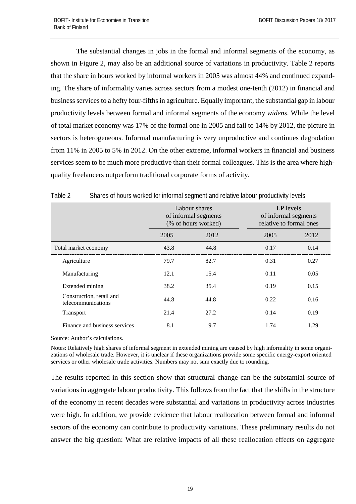The substantial changes in jobs in the formal and informal segments of the economy, as shown in Figure 2, may also be an additional source of variations in productivity. Table 2 reports that the share in hours worked by informal workers in 2005 was almost 44% and continued expanding. The share of informality varies across sectors from a modest one-tenth (2012) in financial and business services to a hefty four-fifths in agriculture. Equally important, the substantial gap in labour productivity levels between formal and informal segments of the economy *widens*. While the level of total market economy was 17% of the formal one in 2005 and fall to 14% by 2012, the picture in sectors is heterogeneous. Informal manufacturing is very unproductive and continues degradation from 11% in 2005 to 5% in 2012. On the other extreme, informal workers in financial and business services seem to be much more productive than their formal colleagues. This is the area where highquality freelancers outperform traditional corporate forms of activity.

|                                                | Labour shares<br>of informal segments<br>(% of hours worked) |      | LP levels<br>of informal segments<br>relative to formal ones |      |  |  |
|------------------------------------------------|--------------------------------------------------------------|------|--------------------------------------------------------------|------|--|--|
|                                                | 2005                                                         | 2012 | 2005                                                         | 2012 |  |  |
| Total market economy                           | 43.8                                                         | 44.8 | 0.17                                                         | 0.14 |  |  |
| Agriculture                                    | 79.7                                                         | 82.7 | 0.31                                                         | 0.27 |  |  |
| Manufacturing                                  | 12.1                                                         | 15.4 | 0.11                                                         | 0.05 |  |  |
| Extended mining                                | 38.2                                                         | 35.4 | 0.19                                                         | 0.15 |  |  |
| Construction, retail and<br>telecommunications | 44.8                                                         | 44.8 | 0.22                                                         | 0.16 |  |  |
| Transport                                      | 21.4                                                         | 27.2 | 0.14                                                         | 0.19 |  |  |
| Finance and business services                  | 8.1                                                          | 9.7  | 1.74                                                         | 1.29 |  |  |

| Table 2 |  |  |  | Shares of hours worked for informal segment and relative labour productivity levels |
|---------|--|--|--|-------------------------------------------------------------------------------------|
|---------|--|--|--|-------------------------------------------------------------------------------------|

Source: Author's calculations.

Notes: Relatively high shares of informal segment in extended mining are caused by high informality in some organizations of wholesale trade. However, it is unclear if these organizations provide some specific energy-export oriented services or other wholesale trade activities. Numbers may not sum exactly due to rounding.

The results reported in this section show that structural change can be the substantial source of variations in aggregate labour productivity. This follows from the fact that the shifts in the structure of the economy in recent decades were substantial and variations in productivity across industries were high. In addition, we provide evidence that labour reallocation between formal and informal sectors of the economy can contribute to productivity variations. These preliminary results do not answer the big question: What are relative impacts of all these reallocation effects on aggregate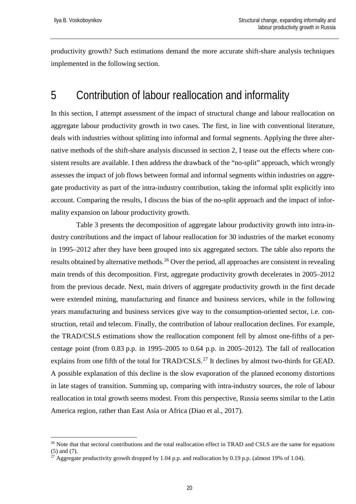productivity growth? Such estimations demand the more accurate shift-share analysis techniques implemented in the following section.

### <span id="page-19-0"></span>5 Contribution of labour reallocation and informality

In this section, I attempt assessment of the impact of structural change and labour reallocation on aggregate labour productivity growth in two cases. The first, in line with conventional literature, deals with industries without splitting into informal and formal segments. Applying the three alternative methods of the shift-share analysis discussed in section 2, I tease out the effects where consistent results are available. I then address the drawback of the "no-split" approach, which wrongly assesses the impact of job flows between formal and informal segments within industries on aggregate productivity as part of the intra-industry contribution, taking the informal split explicitly into account. Comparing the results, I discuss the bias of the no-split approach and the impact of informality expansion on labour productivity growth.

Table 3 presents the decomposition of aggregate labour productivity growth into intra-industry contributions and the impact of labour reallocation for 30 industries of the market economy in 1995–2012 after they have been grouped into six aggregated sectors. The table also reports the results obtained by alternative methods.<sup>[26](#page-19-1)</sup> Over the period, all approaches are consistent in revealing main trends of this decomposition. First, aggregate productivity growth decelerates in 2005–2012 from the previous decade. Next, main drivers of aggregate productivity growth in the first decade were extended mining, manufacturing and finance and business services, while in the following years manufacturing and business services give way to the consumption-oriented sector, i.e. construction, retail and telecom. Finally, the contribution of labour reallocation declines. For example, the TRAD/CSLS estimations show the reallocation component fell by almost one-fifths of a percentage point (from 0.83 p.p. in 1995–2005 to 0.64 p.p. in 2005–2012). The fall of reallocation explains from one fifth of the total for TRAD/CSLS.<sup>[27](#page-19-2)</sup> It declines by almost two-thirds for GEAD. A possible explanation of this decline is the slow evaporation of the planned economy distortions in late stages of transition. Summing up, comparing with intra-industry sources, the role of labour reallocation in total growth seems modest. From this perspective, Russia seems similar to the Latin America region, rather than East Asia or Africa (Diao et al., 2017).

<span id="page-19-1"></span><sup>&</sup>lt;sup>26</sup> Note that that sectoral contributions and the total reallocation effect in TRAD and CSLS are the same for equations (5) and (7).

<span id="page-19-2"></span><sup>&</sup>lt;sup>27</sup> Aggregate productivity growth dropped by 1.04 p.p. and reallocation by 0.19 p.p. (almost 19% of 1.04).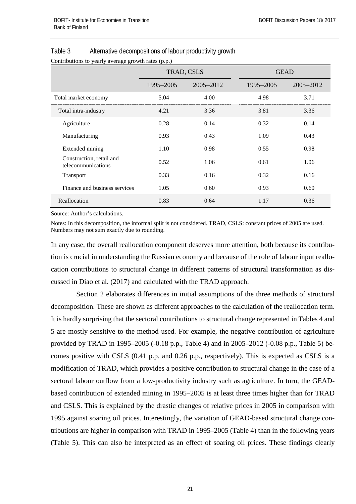Contributions to yearly average growth rates (p.p.)

|                                                | TRAD, CSLS |           | <b>GEAD</b> |           |
|------------------------------------------------|------------|-----------|-------------|-----------|
|                                                | 1995-2005  | 2005–2012 | 1995–2005   | 2005–2012 |
| Total market economy                           | 5.04       | 4.00      | 4.98        | 3.71      |
| Total intra-industry                           | 4.21       | 3.36      | 3.81        | 3.36      |
| Agriculture                                    | 0.28       | 0.14      | 0.32        | 0.14      |
| Manufacturing                                  | 0.93       | 0.43      | 1.09        | 0.43      |
| Extended mining                                | 1.10       | 0.98      | 0.55        | 0.98      |
| Construction, retail and<br>telecommunications | 0.52       | 1.06      | 0.61        | 1.06      |
| Transport                                      | 0.33       | 0.16      | 0.32        | 0.16      |
| Finance and business services                  | 1.05       | 0.60      | 0.93        | 0.60      |
| Reallocation                                   | 0.83       | 0.64      | 1.17        | 0.36      |

#### Table 3 Alternative decompositions of labour productivity growth

Source: Author's calculations.

Notes: In this decomposition, the informal split is not considered. TRAD, CSLS: constant prices of 2005 are used. Numbers may not sum exactly due to rounding.

In any case, the overall reallocation component deserves more attention, both because its contribution is crucial in understanding the Russian economy and because of the role of labour input reallocation contributions to structural change in different patterns of structural transformation as discussed in Diao et al. (2017) and calculated with the TRAD approach.

Section 2 elaborates differences in initial assumptions of the three methods of structural decomposition. These are shown as different approaches to the calculation of the reallocation term. It is hardly surprising that the sectoral contributions to structural change represented in Tables 4 and 5 are mostly sensitive to the method used. For example, the negative contribution of agriculture provided by TRAD in 1995–2005 (-0.18 p.p., Table 4) and in 2005–2012 (-0.08 p.p., Table 5) becomes positive with CSLS (0.41 p.p. and 0.26 p.p., respectively). This is expected as CSLS is a modification of TRAD, which provides a positive contribution to structural change in the case of a sectoral labour outflow from a low-productivity industry such as agriculture. In turn, the GEADbased contribution of extended mining in 1995–2005 is at least three times higher than for TRAD and CSLS. This is explained by the drastic changes of relative prices in 2005 in comparison with 1995 against soaring oil prices. Interestingly, the variation of GEAD-based structural change contributions are higher in comparison with TRAD in 1995–2005 (Table 4) than in the following years (Table 5). This can also be interpreted as an effect of soaring oil prices. These findings clearly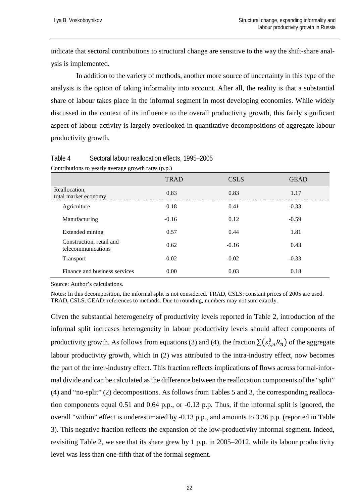indicate that sectoral contributions to structural change are sensitive to the way the shift-share analysis is implemented.

In addition to the variety of methods, another more source of uncertainty in this type of the analysis is the option of taking informality into account. After all, the reality is that a substantial share of labour takes place in the informal segment in most developing economies. While widely discussed in the context of its influence to the overall productivity growth, this fairly significant aspect of labour activity is largely overlooked in quantitative decompositions of aggregate labour productivity growth.

|                                                | <b>TRAD</b> | <b>CSLS</b> | <b>GEAD</b> |
|------------------------------------------------|-------------|-------------|-------------|
| Reallocation,<br>total market economy          | 0.83        | 0.83        | 1.17        |
| Agriculture                                    | $-0.18$     | 0.41        | $-0.33$     |
| Manufacturing                                  | $-0.16$     | 0.12        | $-0.59$     |
| Extended mining                                | 0.57        | 0.44        | 1.81        |
| Construction, retail and<br>telecommunications | 0.62        | $-0.16$     | 0.43        |
| <b>Transport</b>                               | $-0.02$     | $-0.02$     | $-0.33$     |
| Finance and business services                  | 0.00        | 0.03        | 0.18        |

Table 4 Sectoral labour reallocation effects, 1995–2005 Contributions to yearly average growth rates (p.p.)

Source: Author's calculations.

Notes: In this decomposition, the informal split is not considered. TRAD, CSLS: constant prices of 2005 are used. TRAD, CSLS, GEAD: references to methods. Due to rounding, numbers may not sum exactly.

Given the substantial heterogeneity of productivity levels reported in Table 2, introduction of the informal split increases heterogeneity in labour productivity levels should affect components of productivity growth. As follows from equations (3) and (4), the fraction  $\sum (s_{L,n}^0 R_n)$  of the aggregate labour productivity growth, which in (2) was attributed to the intra-industry effect, now becomes the part of the inter-industry effect. This fraction reflects implications of flows across formal-informal divide and can be calculated as the difference between the reallocation components of the "split" (4) and "no-split" (2) decompositions. As follows from Tables 5 and 3, the corresponding reallocation components equal 0.51 and 0.64 p.p., or -0.13 p.p. Thus, if the informal split is ignored, the overall "within" effect is underestimated by -0.13 p.p., and amounts to 3.36 p.p. (reported in Table 3). This negative fraction reflects the expansion of the low-productivity informal segment. Indeed, revisiting Table 2, we see that its share grew by 1 p.p. in 2005–2012, while its labour productivity level was less than one-fifth that of the formal segment.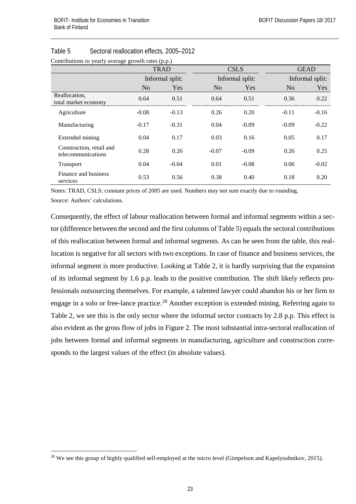|                                                | <b>TRAD</b>    |                 | <b>CSLS</b>     |         | <b>GEAD</b>     |         |
|------------------------------------------------|----------------|-----------------|-----------------|---------|-----------------|---------|
|                                                |                | Informal split: | Informal split: |         | Informal split: |         |
|                                                | N <sub>o</sub> | Yes             | N <sub>o</sub>  | Yes     | N <sub>o</sub>  | Yes     |
| Reallocation.<br>total market economy          | 0.64           | 0.51            | 0.64            | 0.51    | 0.36            | 0.22    |
| Agriculture                                    | $-0.08$        | $-0.13$         | 0.26            | 0.20    | $-0.11$         | $-0.16$ |
| Manufacturing                                  | $-0.17$        | $-0.31$         | 0.04            | $-0.09$ | $-0.09$         | $-0.22$ |
| Extended mining                                | 0.04           | 0.17            | 0.03            | 0.16    | 0.05            | 0.17    |
| Construction, retail and<br>telecommunications | 0.28           | 0.26            | $-0.07$         | $-0.09$ | 0.26            | 0.25    |
| Transport                                      | 0.04           | $-0.04$         | 0.01            | $-0.08$ | 0.06            | $-0.02$ |
| Finance and business<br>services               | 0.53           | 0.56            | 0.38            | 0.40    | 0.18            | 0.20    |

### Table 5 Sectoral reallocation effects, 2005–2012

Notes: TRAD, CSLS: constant prices of 2005 are used. Numbers may not sum exactly due to rounding. Source: Authors' calculations.

Consequently, the effect of labour reallocation between formal and informal segments within a sector (difference between the second and the first columns of Table 5) equals the sectoral contributions of this reallocation between formal and informal segments. As can be seen from the table, this reallocation is negative for all sectors with two exceptions. In case of finance and business services, the informal segment is more productive. Looking at Table 2, it is hardly surprising that the expansion of its informal segment by 1.6 p.p. leads to the positive contribution. The shift likely reflects professionals outsourcing themselves. For example, a talented lawyer could abandon his or her firm to engage in a solo or free-lance practice.<sup>[28](#page-22-0)</sup> Another exception is extended mining. Referring again to Table 2, we see this is the only sector where the informal sector contracts by 2.8 p.p. This effect is also evident as the gross flow of jobs in Figure 2. The most substantial intra-sectoral reallocation of jobs between formal and informal segments in manufacturing, agriculture and construction corresponds to the largest values of the effect (in absolute values).

<span id="page-22-0"></span><sup>&</sup>lt;sup>28</sup> We see this group of highly qualified self-employed at the micro level (Gimpelson and Kapelyushnikov, 2015).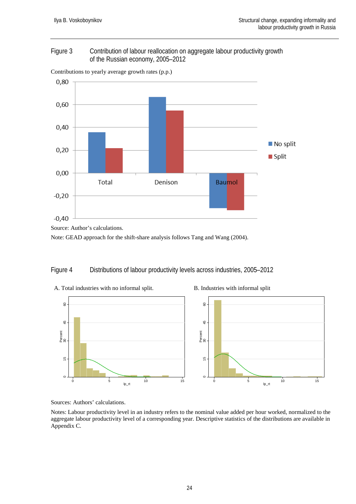#### Figure 3 Contribution of labour reallocation on aggregate labour productivity growth of the Russian economy, 2005–2012



Contributions to yearly average growth rates (p.p.)

Note: GEAD approach for the shift-share analysis follows Tang and Wang (2004).

#### Figure 4 Distributions of labour productivity levels across industries, 2005–2012



Sources: Authors' calculations.

Notes: Labour productivity level in an industry refers to the nominal value added per hour worked, normalized to the aggregate labour productivity level of a corresponding year. Descriptive statistics of the distributions are available in Appendix C.

Source: Author's calculations.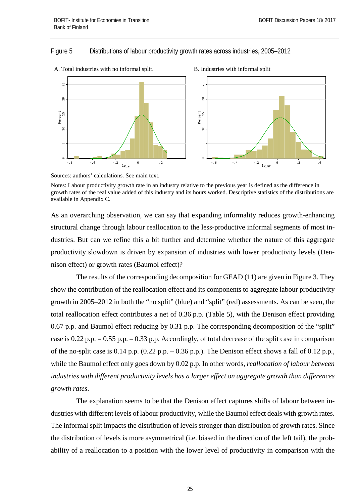#### Figure 5 Distributions of labour productivity growth rates across industries, 2005–2012





As an overarching observation, we can say that expanding informality reduces growth-enhancing structural change through labour reallocation to the less-productive informal segments of most industries. But can we refine this a bit further and determine whether the nature of this aggregate productivity slowdown is driven by expansion of industries with lower productivity levels (Dennison effect) or growth rates (Baumol effect)?

The results of the corresponding decomposition for GEAD (11) are given in Figure 3. They show the contribution of the reallocation effect and its components to aggregate labour productivity growth in 2005–2012 in both the "no split" (blue) and "split" (red) assessments. As can be seen, the total reallocation effect contributes a net of 0.36 p.p. (Table 5), with the Denison effect providing 0.67 p.p. and Baumol effect reducing by 0.31 p.p. The corresponding decomposition of the "split" case is 0.22 p.p. = 0.55 p.p. – 0.33 p.p. Accordingly, of total decrease of the split case in comparison of the no-split case is  $0.14$  p.p.  $(0.22$  p.p.  $-0.36$  p.p.). The Denison effect shows a fall of  $0.12$  p.p., while the Baumol effect only goes down by 0.02 p.p. In other words, *reallocation of labour between industries with different productivity levels has a larger effect on aggregate growth than differences growth rates*.

The explanation seems to be that the Denison effect captures shifts of labour between industries with different levels of labour productivity, while the Baumol effect deals with growth rates. The informal split impacts the distribution of levels stronger than distribution of growth rates. Since the distribution of levels is more asymmetrical (i.e. biased in the direction of the left tail), the probability of a reallocation to a position with the lower level of productivity in comparison with the

Sources: authors' calculations. See main text.

Notes: Labour productivity growth rate in an industry relative to the previous year is defined as the difference in growth rates of the real value added of this industry and its hours worked. Descriptive statistics of the distributions are available in Appendix C.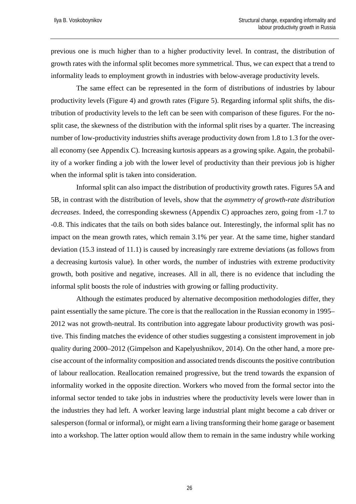previous one is much higher than to a higher productivity level. In contrast, the distribution of growth rates with the informal split becomes more symmetrical. Thus, we can expect that a trend to informality leads to employment growth in industries with below-average productivity levels.

The same effect can be represented in the form of distributions of industries by labour productivity levels (Figure 4) and growth rates (Figure 5). Regarding informal split shifts, the distribution of productivity levels to the left can be seen with comparison of these figures. For the nosplit case, the skewness of the distribution with the informal split rises by a quarter. The increasing number of low-productivity industries shifts average productivity down from 1.8 to 1.3 for the overall economy (see Appendix C). Increasing kurtosis appears as a growing spike. Again, the probability of a worker finding a job with the lower level of productivity than their previous job is higher when the informal split is taken into consideration.

Informal split can also impact the distribution of productivity growth rates. Figures 5A and 5B, in contrast with the distribution of levels, show that the *asymmetry of growth-rate distribution decreases*. Indeed, the corresponding skewness (Appendix C) approaches zero, going from -1.7 to -0.8. This indicates that the tails on both sides balance out. Interestingly, the informal split has no impact on the mean growth rates, which remain 3.1% per year. At the same time, higher standard deviation (15.3 instead of 11.1) is caused by increasingly rare extreme deviations (as follows from a decreasing kurtosis value). In other words, the number of industries with extreme productivity growth, both positive and negative, increases. All in all, there is no evidence that including the informal split boosts the role of industries with growing or falling productivity.

Although the estimates produced by alternative decomposition methodologies differ, they paint essentially the same picture. The core is that the reallocation in the Russian economy in 1995– 2012 was not growth-neutral. Its contribution into aggregate labour productivity growth was positive. This finding matches the evidence of other studies suggesting a consistent improvement in job quality during 2000–2012 (Gimpelson and Kapelyushnikov, 2014). On the other hand, a more precise account of the informality composition and associated trends discounts the positive contribution of labour reallocation. Reallocation remained progressive, but the trend towards the expansion of informality worked in the opposite direction. Workers who moved from the formal sector into the informal sector tended to take jobs in industries where the productivity levels were lower than in the industries they had left. A worker leaving large industrial plant might become a cab driver or salesperson (formal or informal), or might earn a living transforming their home garage or basement into a workshop. The latter option would allow them to remain in the same industry while working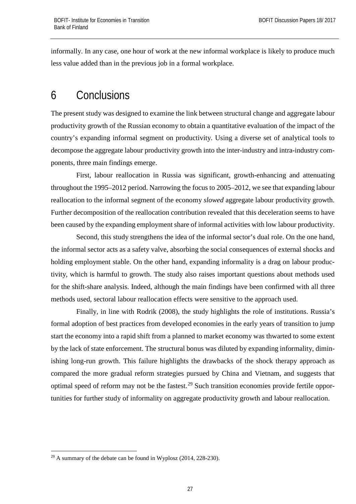informally. In any case, one hour of work at the new informal workplace is likely to produce much less value added than in the previous job in a formal workplace.

### <span id="page-26-0"></span>6 Conclusions

The present study was designed to examine the link between structural change and aggregate labour productivity growth of the Russian economy to obtain a quantitative evaluation of the impact of the country's expanding informal segment on productivity. Using a diverse set of analytical tools to decompose the aggregate labour productivity growth into the inter-industry and intra-industry components, three main findings emerge.

First, labour reallocation in Russia was significant, growth-enhancing and attenuating throughout the 1995–2012 period. Narrowing the focus to 2005–2012, we see that expanding labour reallocation to the informal segment of the economy *slowed* aggregate labour productivity growth. Further decomposition of the reallocation contribution revealed that this deceleration seems to have been caused by the expanding employment share of informal activities with low labour productivity.

Second, this study strengthens the idea of the informal sector's dual role. On the one hand, the informal sector acts as a safety valve, absorbing the social consequences of external shocks and holding employment stable. On the other hand, expanding informality is a drag on labour productivity, which is harmful to growth. The study also raises important questions about methods used for the shift-share analysis. Indeed, although the main findings have been confirmed with all three methods used, sectoral labour reallocation effects were sensitive to the approach used.

Finally, in line with Rodrik (2008), the study highlights the role of institutions. Russia's formal adoption of best practices from developed economies in the early years of transition to jump start the economy into a rapid shift from a planned to market economy was thwarted to some extent by the lack of state enforcement. The structural bonus was diluted by expanding informality, diminishing long-run growth. This failure highlights the drawbacks of the shock therapy approach as compared the more gradual reform strategies pursued by China and Vietnam, and suggests that optimal speed of reform may not be the fastest.<sup>[29](#page-26-1)</sup> Such transition economies provide fertile opportunities for further study of informality on aggregate productivity growth and labour reallocation.

<span id="page-26-1"></span> $^{29}$  A summary of the debate can be found in Wyplosz (2014, 228-230).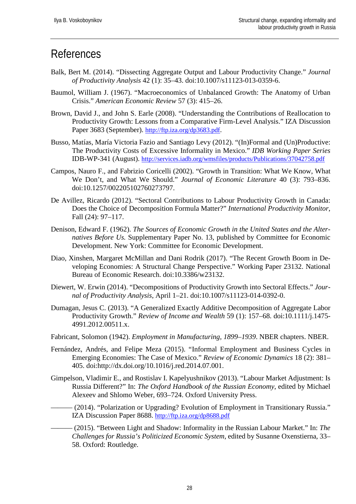### <span id="page-27-0"></span>References

- Balk, Bert M. (2014). "Dissecting Aggregate Output and Labour Productivity Change." *Journal of Productivity Analysis* 42 (1): 35–43. doi:10.1007/s11123-013-0359-6.
- Baumol, William J. (1967). "Macroeconomics of Unbalanced Growth: The Anatomy of Urban Crisis." *American Economic Review* 57 (3): 415–26.
- Brown, David J., and John S. Earle (2008). "Understanding the Contributions of Reallocation to Productivity Growth: Lessons from a Comparative Firm-Level Analysis." IZA Discussion Paper 3683 (September). [http://ftp.iza.org/dp3683.pdf.](http://ftp.iza.org/dp3683.pdf)
- Busso, Matías, María Victoria Fazio and Santiago Levy (2012). "(In)Formal and (Un)Productive: The Productivity Costs of Excessive Informality in Mexico." *IDB Working Paper Series* IDB-WP-341 (August).<http://services.iadb.org/wmsfiles/products/Publications/37042758.pdf>
- Campos, Nauro F., and Fabrizio Coricelli (2002). "Growth in Transition: What We Know, What We Don't, and What We Should." *Journal of Economic Literature* 40 (3): 793–836. doi:10.1257/002205102760273797.
- De Avillez, Ricardo (2012). "Sectoral Contributions to Labour Productivity Growth in Canada: Does the Choice of Decomposition Formula Matter?" *International Productivity Monitor*, Fall (24): 97–117.
- Denison, Edward F. (1962). *The Sources of Economic Growth in the United States and the Alternatives Before Us.* Supplementary Paper No. 13, published by Committee for Economic Development. New York: Committee for Economic Development.
- Diao, Xinshen, Margaret McMillan and Dani Rodrik (2017). "The Recent Growth Boom in Developing Economies: A Structural Change Perspective." Working Paper 23132. National Bureau of Economic Research. doi:10.3386/w23132.
- Diewert, W. Erwin (2014). "Decompositions of Productivity Growth into Sectoral Effects." *Journal of Productivity Analysis*, April 1–21. doi:10.1007/s11123-014-0392-0.
- Dumagan, Jesus C. (2013). "A Generalized Exactly Additive Decomposition of Aggregate Labor Productivity Growth." *Review of Income and Wealth* 59 (1): 157–68. doi:10.1111/j.1475- 4991.2012.00511.x.
- Fabricant, Solomon (1942). *Employment in Manufacturing, 1899–1939*. NBER chapters. NBER.
- Fernández, Andrés, and Felipe Meza (2015). "Informal Employment and Business Cycles in Emerging Economies: The Case of Mexico." *Review of Economic Dynamics* 18 (2): 381– 405. doi:http://dx.doi.org/10.1016/j.red.2014.07.001.
- Gimpelson, Vladimir E., and Rostislav I. Kapelyushnikov (2013). "Labour Market Adjustment: Is Russia Different?" In: *The Oxford Handbook of the Russian Economy*, edited by Michael Alexeev and Shlomo Weber, 693–724. Oxford University Press.
	- (2014). "Polarization or Upgrading? Evolution of Employment in Transitionary Russia." IZA Discussion Paper 8688.<http://ftp.iza.org/dp8688.pdf>
		- ——— (2015). "Between Light and Shadow: Informality in the Russian Labour Market." In: *The Challenges for Russia's Politicized Economic System*, edited by Susanne Oxenstierna, 33– 58. Oxford: Routledge.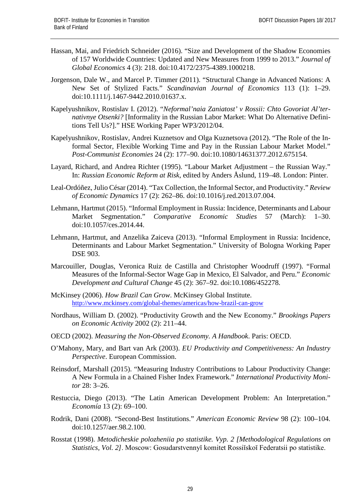- Hassan, Mai, and Friedrich Schneider (2016). "Size and Development of the Shadow Economies of 157 Worldwide Countries: Updated and New Measures from 1999 to 2013." *Journal of Global Economics* 4 (3): 218. doi:10.4172/2375-4389.1000218.
- Jorgenson, Dale W., and Marcel P. Timmer (2011). "Structural Change in Advanced Nations: A New Set of Stylized Facts." *Scandinavian Journal of Economics* 113 (1): 1–29. doi:10.1111/j.1467-9442.2010.01637.x.
- Kapelyushnikov, Rostislav I. (2012). "*Neformal'naia Zaniatost' v Rossii: Chto Govoriat Al'ternativnye Otsenki?* [Informality in the Russian Labor Market: What Do Alternative Definitions Tell Us?]." HSE Working Paper WP3/2012/04.
- Kapelyushnikov, Rostislav, Andrei Kuznetsov and Olga Kuznetsova (2012). "The Role of the Informal Sector, Flexible Working Time and Pay in the Russian Labour Market Model." *Post-Communist Economies* 24 (2): 177–90. doi:10.1080/14631377.2012.675154.
- Layard, Richard, and Andrea Richter (1995). "Labour Market Adjustment the Russian Way." In: *Russian Economic Reform at Risk*, edited by Anders Åslund, 119–48. London: Pinter.
- Leal-Ordóñez, Julio César (2014). "Tax Collection, the Informal Sector, and Productivity." *Review of Economic Dynamics* 17 (2): 262–86. doi:10.1016/j.red.2013.07.004.
- Lehmann, Hartmut (2015). "Informal Employment in Russia: Incidence, Determinants and Labour Market Segmentation." *Comparative Economic Studies* 57 (March): 1–30. doi:10.1057/ces.2014.44.
- Lehmann, Hartmut, and Anzelika Zaiceva (2013). "Informal Employment in Russia: Incidence, Determinants and Labour Market Segmentation." University of Bologna Working Paper DSE 903.
- Marcouiller, Douglas, Veronica Ruiz de Castilla and Christopher Woodruff (1997). "Formal Measures of the Informal-Sector Wage Gap in Mexico, El Salvador, and Peru." *Economic Development and Cultural Change* 45 (2): 367–92. doi:10.1086/452278.
- McKinsey (2006). *How Brazil Can Grow*. McKinsey Global Institute. <http://www.mckinsey.com/global-themes/americas/how-brazil-can-grow>
- Nordhaus, William D. (2002). "Productivity Growth and the New Economy." *Brookings Papers on Economic Activity* 2002 (2): 211–44.
- OECD (2002). *Measuring the Non-Observed Economy. A Handbook*. Paris: OECD.
- O'Mahony, Mary, and Bart van Ark (2003). *EU Productivity and Competitiveness: An Industry Perspective*. European Commission.
- Reinsdorf, Marshall (2015). "Measuring Industry Contributions to Labour Productivity Change: A New Formula in a Chained Fisher Index Framework." *International Productivity Monitor* 28: 3–26.
- Restuccia, Diego (2013). "The Latin American Development Problem: An Interpretation." *Economía* 13 (2): 69–100.
- Rodrik, Dani (2008). "Second-Best Institutions." *American Economic Review* 98 (2): 100–104. doi:10.1257/aer.98.2.100.
- Rosstat (1998). *Metodicheskie polozheniia po statistike. Vyp. 2 [Methodological Regulations on Statistics, Vol. 2]*. Moscow: Gosudarstvennyĭ komitet Rossiĭskoĭ Federatsii po statistike.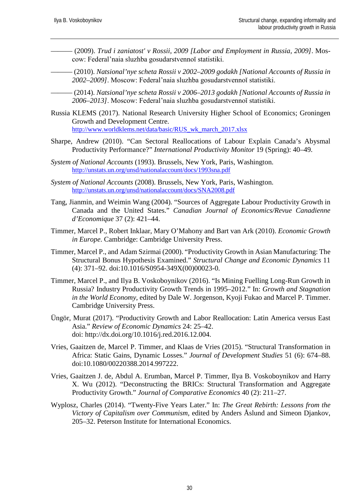- ——— (2009). *Trud i zaniatost' v Rossii, 2009 [Labor and Employment in Russia, 2009]*. Moscow: Federal'naia sluzhba gosudarstvennoĭ statistiki.
- ——— (2010). *Natsional'nye scheta Rossii v 2002–2009 godakh [National Accounts of Russia in 2002–2009]*. Moscow: Federal'naia sluzhba gosudarstvennoĭ statistiki.
	- ——— (2014). *Natsional'nye scheta Rossii v 2006–2013 godakh [National Accounts of Russia in 2006–2013]*. Moscow: Federal'naia sluzhba gosudarstvennoĭ statistiki.
- Russia KLEMS (2017). National Research University Higher School of Economics; Groningen Growth and Development Centre. http://www.worldklems.net/data/basic/RUS\_wk\_march\_2017.xlsx
- Sharpe, Andrew (2010). "Can Sectoral Reallocations of Labour Explain Canada's Abysmal Productivity Performance?" *International Productivity Monitor* 19 (Spring): 40–49.
- *System of National Accounts* (1993). Brussels, New York, Paris, Washington. <http://unstats.un.org/unsd/nationalaccount/docs/1993sna.pdf>
- *System of National Accounts* (2008). Brussels, New York, Paris, Washington. <http://unstats.un.org/unsd/nationalaccount/docs/SNA2008.pdf>
- Tang, Jianmin, and Weimin Wang (2004). "Sources of Aggregate Labour Productivity Growth in Canada and the United States." *Canadian Journal of Economics/Revue Canadienne d'Economique* 37 (2): 421–44.
- Timmer, Marcel P., Robert Inklaar, Mary O'Mahony and Bart van Ark (2010). *Economic Growth in Europe*. Cambridge: Cambridge University Press.
- Timmer, Marcel P., and Adam Szirmai (2000). "Productivity Growth in Asian Manufacturing: The Structural Bonus Hypothesis Examined." *Structural Change and Economic Dynamics* 11 (4): 371–92. doi:10.1016/S0954-349X(00)00023-0.
- Timmer, Marcel P., and Ilya B. Voskoboynikov (2016). "Is Mining Fuelling Long-Run Growth in Russia? Industry Productivity Growth Trends in 1995–2012." In: *Growth and Stagnation in the World Economy*, edited by Dale W. Jorgenson, Kyoji Fukao and Marcel P. Timmer. Cambridge University Press.
- Üngör, Murat (2017). "Productivity Growth and Labor Reallocation: Latin America versus East Asia." *Review of Economic Dynamics* 24: 25–42. doi: http://dx.doi.org/10.1016/j.red.2016.12.004.
- Vries, Gaaitzen de, Marcel P. Timmer, and Klaas de Vries (2015). "Structural Transformation in Africa: Static Gains, Dynamic Losses." *Journal of Development Studies* 51 (6): 674–88. doi:10.1080/00220388.2014.997222.
- Vries, Gaaitzen J. de, Abdul A. Erumban, Marcel P. Timmer, Ilya B. Voskoboynikov and Harry X. Wu (2012). "Deconstructing the BRICs: Structural Transformation and Aggregate Productivity Growth." *Journal of Comparative Economics* 40 (2): 211–27.
- Wyplosz, Charles (2014). "Twenty-Five Years Later." In: *The Great Rebirth: Lessons from the Victory of Capitalism over Communism*, edited by Anders Åslund and Simeon Djankov, 205–32. Peterson Institute for International Economics.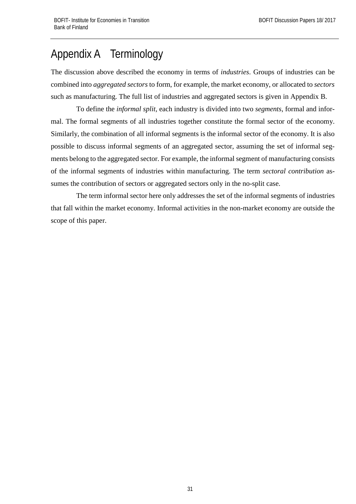# <span id="page-30-0"></span>Appendix A Terminology

The discussion above described the economy in terms of *industries*. Groups of industries can be combined into *aggregated sectors* to form, for example, the market economy, or allocated to *sectors* such as manufacturing. The full list of industries and aggregated sectors is given in Appendix B.

To define the *informal split*, each industry is divided into two *segments*, formal and informal. The formal segments of all industries together constitute the formal sector of the economy. Similarly, the combination of all informal segments is the informal sector of the economy. It is also possible to discuss informal segments of an aggregated sector, assuming the set of informal segments belong to the aggregated sector. For example, the informal segment of manufacturing consists of the informal segments of industries within manufacturing. The term *sectoral contribution* assumes the contribution of sectors or aggregated sectors only in the no-split case.

The term informal sector here only addresses the set of the informal segments of industries that fall within the market economy. Informal activities in the non-market economy are outside the scope of this paper.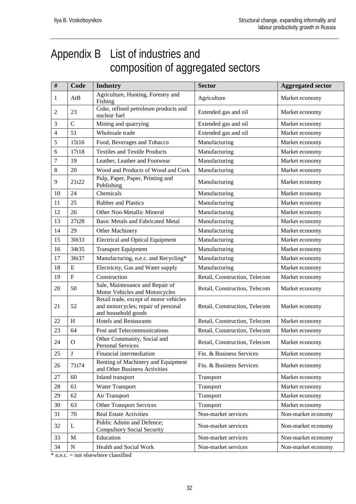# <span id="page-31-0"></span>Appendix B List of industries and composition of aggregated sectors

| $\#$           | Code                      | <b>Industry</b>                                                                                      | <b>Sector</b>                 | <b>Aggregated sector</b> |
|----------------|---------------------------|------------------------------------------------------------------------------------------------------|-------------------------------|--------------------------|
| 1              | AtB                       | Agriculture, Hunting, Forestry and<br>Fishing                                                        | Agriculture                   | Market economy           |
| 2              | 23                        | Coke, refined petroleum products and<br>nuclear fuel                                                 | Extended gas and oil          | Market economy           |
| 3              | $\overline{C}$            | Mining and quarrying                                                                                 | Extended gas and oil          | Market economy           |
| $\overline{4}$ | 51                        | Wholesale trade                                                                                      | Extended gas and oil          | Market economy           |
| 5              | 15t16                     | Food, Beverages and Tobacco                                                                          | Manufacturing                 | Market economy           |
| 6              | 17t18                     | <b>Textiles and Textile Products</b>                                                                 | Manufacturing                 | Market economy           |
| 7              | 19                        | Leather, Leather and Footwear                                                                        | Manufacturing                 | Market economy           |
| 8              | 20                        | Wood and Products of Wood and Cork                                                                   | Manufacturing                 | Market economy           |
| 9              | 21t22                     | Pulp, Paper, Paper, Printing and<br>Publishing                                                       | Manufacturing                 | Market economy           |
| 10             | 24                        | Chemicals                                                                                            | Manufacturing                 | Market economy           |
| 11             | 25                        | <b>Rubber and Plastics</b>                                                                           | Manufacturing                 | Market economy           |
| 12             | 26                        | Other Non-Metallic Mineral                                                                           | Manufacturing                 | Market economy           |
| 13             | 27t28                     | <b>Basic Metals and Fabricated Metal</b>                                                             | Manufacturing                 | Market economy           |
| 14             | 29                        | Other Machinery                                                                                      | Manufacturing                 | Market economy           |
| 15             | 30t33                     | <b>Electrical and Optical Equipment</b>                                                              | Manufacturing                 | Market economy           |
| 16             | 34t35                     | <b>Transport Equipment</b>                                                                           | Manufacturing                 | Market economy           |
| 17             | 36t37                     | Manufacturing, n.e.c. and Recycling*                                                                 | Manufacturing                 | Market economy           |
| 18             | ${\bf E}$                 | Electricity, Gas and Water supply                                                                    | Manufacturing                 | Market economy           |
| 19             | $\boldsymbol{\mathrm{F}}$ | Construction                                                                                         | Retail, Construction, Telecom | Market economy           |
| 20             | 50                        | Sale, Maintenance and Repair of<br>Motor Vehicles and Motorcycles                                    | Retail, Construction, Telecom | Market economy           |
| 21             | 52                        | Retail trade, except of motor vehicles<br>and motorcycles; repair of personal<br>and household goods | Retail, Construction, Telecom | Market economy           |
| 22             | $\boldsymbol{\mathrm{H}}$ | <b>Hotels and Restaurants</b>                                                                        | Retail, Construction, Telecom | Market economy           |
| 23             | 64                        | Post and Telecommunications                                                                          | Retail, Construction, Telecom | Market economy           |
| 24             | $\Omega$                  | Other Community, Social and<br><b>Personal Services</b>                                              | Retail, Construction, Telecom | Market economy           |
| 25             | $\bf J$                   | Financial intermediation                                                                             | Fin. & Business Services      | Market economy           |
| 26             | 71t74                     | Renting of Machinery and Equipment<br>and Other Business Activities                                  | Fin. & Business Services      | Market economy           |
| 27             | 60                        | Inland transport                                                                                     | Transport                     | Market economy           |
| 28             | 61                        | Water Transport                                                                                      | Transport                     | Market economy           |
| 29             | 62                        | Air Transport                                                                                        | Transport                     | Market economy           |
| 30             | 63                        | <b>Other Transport Services</b>                                                                      | Transport                     | Market economy           |
| 31             | 70                        | <b>Real Estate Activities</b>                                                                        | Non-market services           | Non-market economy       |
| 32             | L                         | Public Admin and Defence;<br><b>Compulsory Social Security</b>                                       | Non-market services           | Non-market economy       |
| 33             | $\mathbf M$               | Education                                                                                            | Non-market services           | Non-market economy       |
| 34             | ${\bf N}$                 | Health and Social Work                                                                               | Non-market services           | Non-market economy       |

 $\overline{\text{*}$  n.e.c. = not elsewhere classified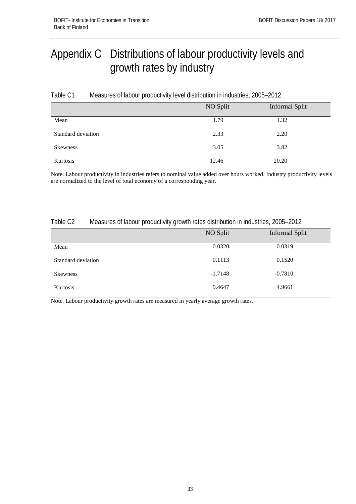# <span id="page-32-0"></span>Appendix C Distributions of labour productivity levels and growth rates by industry

| Table C1 | Measures of labour productivity level distribution in industries, 2005-2012 |
|----------|-----------------------------------------------------------------------------|
|----------|-----------------------------------------------------------------------------|

|                    | NO Split | Informal Split |
|--------------------|----------|----------------|
| Mean               | 1.79     | 1.32           |
| Standard deviation | 2.33     | 2.20           |
| <b>Skewness</b>    | 3.05     | 3.82           |
| Kurtosis           | 12.46    | 20.20          |

Note. Labour productivity in industries refers to nominal value added over hours worked. Industry productivity levels are normalized to the level of total economy of a corresponding year.

#### Table C2 Measures of labour productivity growth rates distribution in industries, 2005–2012

|                    | NO Split  | <b>Informal Split</b> |
|--------------------|-----------|-----------------------|
| Mean               | 0.0320    | 0.0319                |
| Standard deviation | 0.1113    | 0.1520                |
| Skewness           | $-1.7148$ | $-0.7810$             |
| Kurtosis           | 9.4647    | 4.9661                |

Note. Labour productivity growth rates are measured in yearly average growth rates.